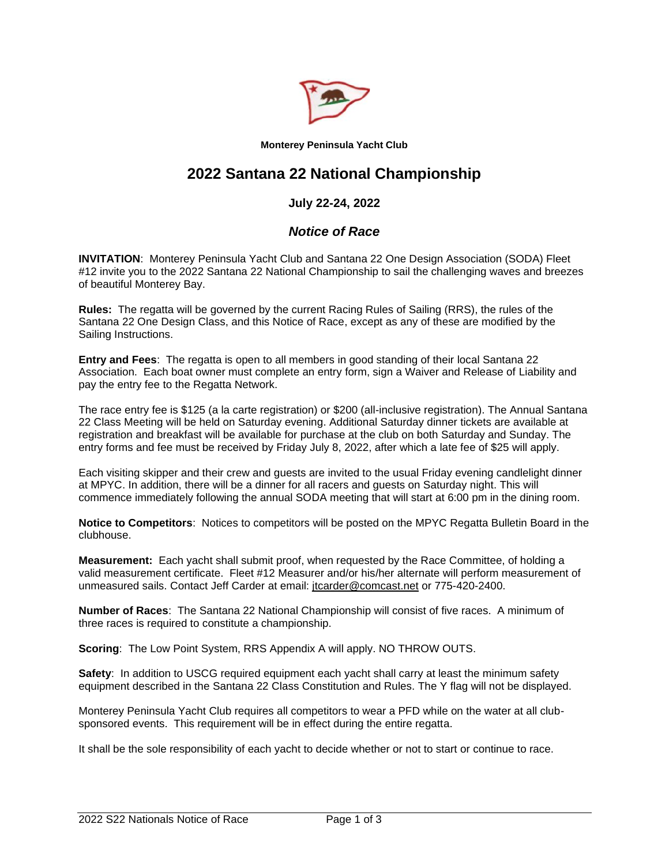

**Monterey Peninsula Yacht Club** 

# **2022 Santana 22 National Championship**

# **July 22-24, 2022**

## *Notice of Race*

**INVITATION**: Monterey Peninsula Yacht Club and Santana 22 One Design Association (SODA) Fleet #12 invite you to the 2022 Santana 22 National Championship to sail the challenging waves and breezes of beautiful Monterey Bay.

**Rules:** The regatta will be governed by the current Racing Rules of Sailing (RRS), the rules of the Santana 22 One Design Class, and this Notice of Race, except as any of these are modified by the Sailing Instructions.

**Entry and Fees**: The regatta is open to all members in good standing of their local Santana 22 Association. Each boat owner must complete an entry form, sign a Waiver and Release of Liability and pay the entry fee to the Regatta Network.

The race entry fee is \$125 (a la carte registration) or \$200 (all-inclusive registration). The Annual Santana 22 Class Meeting will be held on Saturday evening. Additional Saturday dinner tickets are available at registration and breakfast will be available for purchase at the club on both Saturday and Sunday. The entry forms and fee must be received by Friday July 8, 2022, after which a late fee of \$25 will apply.

Each visiting skipper and their crew and guests are invited to the usual Friday evening candlelight dinner at MPYC. In addition, there will be a dinner for all racers and guests on Saturday night. This will commence immediately following the annual SODA meeting that will start at 6:00 pm in the dining room.

**Notice to Competitors**: Notices to competitors will be posted on the MPYC Regatta Bulletin Board in the clubhouse.

**Measurement:** Each yacht shall submit proof, when requested by the Race Committee, of holding a valid measurement certificate. Fleet #12 Measurer and/or his/her alternate will perform measurement of unmeasured sails. Contact Jeff Carder at email: [jtcarder@comcast.net](mailto:jtcarder@comcast.net) or 775-420-2400.

**Number of Races**: The Santana 22 National Championship will consist of five races. A minimum of three races is required to constitute a championship.

**Scoring**: The Low Point System, RRS Appendix A will apply. NO THROW OUTS.

**Safety:** In addition to USCG required equipment each yacht shall carry at least the minimum safety equipment described in the Santana 22 Class Constitution and Rules. The Y flag will not be displayed.

Monterey Peninsula Yacht Club requires all competitors to wear a PFD while on the water at all clubsponsored events. This requirement will be in effect during the entire regatta.

It shall be the sole responsibility of each yacht to decide whether or not to start or continue to race.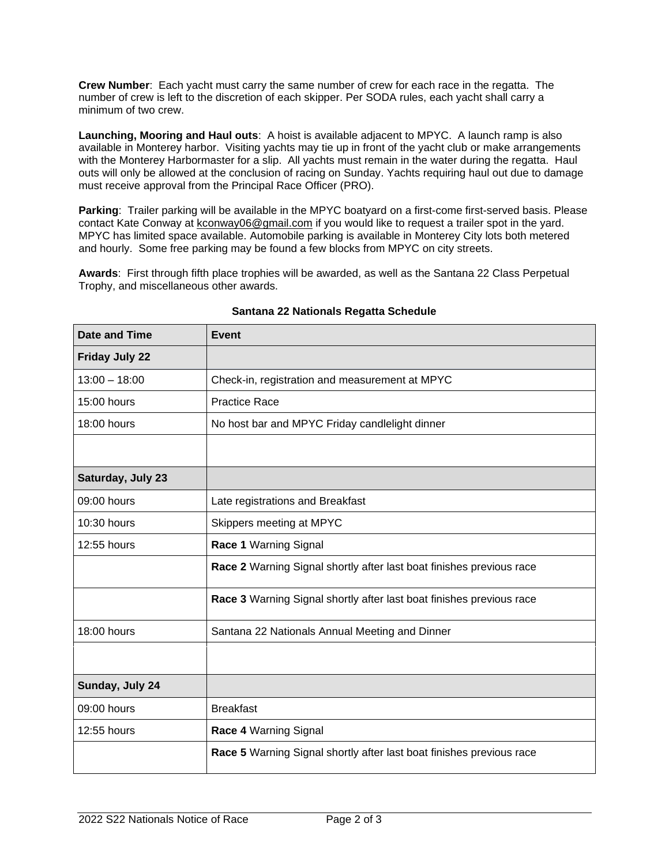**Crew Number**: Each yacht must carry the same number of crew for each race in the regatta. The number of crew is left to the discretion of each skipper. Per SODA rules, each yacht shall carry a minimum of two crew.

**Launching, Mooring and Haul outs**: A hoist is available adjacent to MPYC. A launch ramp is also available in Monterey harbor. Visiting yachts may tie up in front of the yacht club or make arrangements with the Monterey Harbormaster for a slip. All yachts must remain in the water during the regatta. Haul outs will only be allowed at the conclusion of racing on Sunday. Yachts requiring haul out due to damage must receive approval from the Principal Race Officer (PRO).

Parking: Trailer parking will be available in the MPYC boatyard on a first-come first-served basis. Please contact Kate Conway at [kconway06@gmail.com](mailto:kconway06@gmail.com) if you would like to request a trailer spot in the yard. MPYC has limited space available. Automobile parking is available in Monterey City lots both metered and hourly. Some free parking may be found a few blocks from MPYC on city streets.

**Awards**: First through fifth place trophies will be awarded, as well as the Santana 22 Class Perpetual Trophy, and miscellaneous other awards.

| <b>Date and Time</b>  | <b>Event</b>                                                         |
|-----------------------|----------------------------------------------------------------------|
| <b>Friday July 22</b> |                                                                      |
| $13:00 - 18:00$       | Check-in, registration and measurement at MPYC                       |
| 15:00 hours           | <b>Practice Race</b>                                                 |
| 18:00 hours           | No host bar and MPYC Friday candlelight dinner                       |
|                       |                                                                      |
| Saturday, July 23     |                                                                      |
| 09:00 hours           | Late registrations and Breakfast                                     |
| 10:30 hours           | Skippers meeting at MPYC                                             |
| 12:55 hours           | Race 1 Warning Signal                                                |
|                       | Race 2 Warning Signal shortly after last boat finishes previous race |
|                       | Race 3 Warning Signal shortly after last boat finishes previous race |
| 18:00 hours           | Santana 22 Nationals Annual Meeting and Dinner                       |
|                       |                                                                      |
| Sunday, July 24       |                                                                      |
| 09:00 hours           | <b>Breakfast</b>                                                     |
| 12:55 hours           | Race 4 Warning Signal                                                |
|                       | Race 5 Warning Signal shortly after last boat finishes previous race |

#### **Santana 22 Nationals Regatta Schedule**